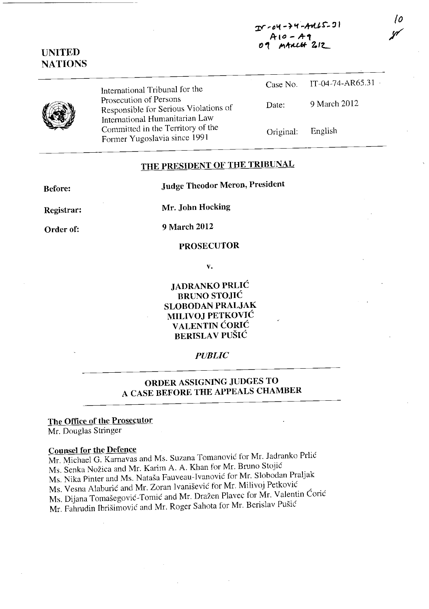**::rr'D'1 -} "f -.+oUr, :J <sup>I</sup> A- toO - A-'1** ~ **'I JI'I.t.u..6f** *Zo/L* 

## **UNITED NATIONS**

International Tribunal for the Prosecution of Persons Responsible for Serious Violations of International Humanitarian Law Committed in the Territory of the

Former Yugoslavia since <sup>1991</sup>

| Case No.  | $IT-04-74-AR65.31$ |
|-----------|--------------------|
| Date:     | 9 March 2012       |
| Original. | English            |

*{o* 

y

# **THE PRESIDENT OF THE TRIBUNAL**

**Before:** 

**Judge Theodor Meron, President** 

**Registrar:** 

**Mr. John Hocking** 

**Order of:** 

**9 March 2012** 

#### **PROSECUTOR**

v.

**JADRANKO PRLlC BRUNO STOJIĆ SLOBODAN PRALJAK MILlVOJ PETKOVIC V ALENTIN CORIC BERISLAV PUŠIĆ** 

### *PUBLIC*

## **ORDER ASSIGNING JUDGES TO A CASE BEFORE THE APPEALS CHAMBER**

### **The Oflice of the Prosecutor**

Mr. Douglas Stringer

### **Counsel for the Defence**

Mr. Michacl G. Karnavas and Ms. Suzana Tomanovic for Mr. Iadranko Prlic Ms. Senka Nozica and Mr. Karim A. A. Khan for Mr. Bruno Stojic Ms. Nika Pinter and Ms. Natasa Fauveau-Ivanovic for Mr. Slobodan Praljak Ms. Vesna Alaburic and Mr. Zoran Ivanisevic for Mr. Milivoj Petkovic Ms. Dijana Tomašegović-Tomić and Mr. Dražen Plavec for Mr. Valentin Ćorić Mr. Fahrudin Ibrisimovic and Mr. Roger Sahota for Mr. Berislav Pusic